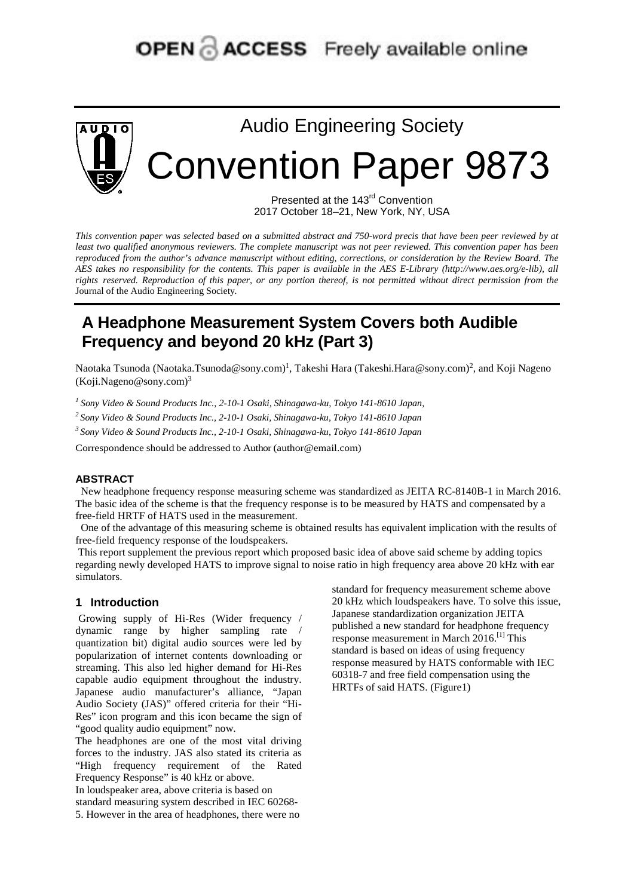# **OPEN & ACCESS** Freely available online



Audio Engineering Society Convention Paper 9873

> Presented at the 143<sup>rd</sup> Convention 2017 October 18–21, New York, NY, USA

*This convention paper was selected based on a submitted abstract and 750-word precis that have been peer reviewed by at least two qualified anonymous reviewers. The complete manuscript was not peer reviewed. This convention paper has been reproduced from the author's advance manuscript without editing, corrections, or consideration by the Review Board. The AES takes no responsibility for the contents. This paper is available in the AES E-Library (http://www.aes.org/e-lib), all rights reserved. Reproduction of this paper, or any portion thereof, is not permitted without direct permission from the* Journal of the Audio Engineering Society*.* 

# **A Headphone Measurement System Covers both Audible Frequency and beyond 20 kHz (Part 3)**

Naotaka Tsunoda (Naotaka.Tsunoda@sony.com)<sup>1</sup>, Takeshi Hara (Takeshi.Hara@sony.com)<sup>2</sup>, and Koji Nageno  $(Koii.Nageno@sony.com)<sup>3</sup>$ 

*<sup>1</sup> Sony Video & Sound Products Inc., 2-10-1 Osaki, Shinagawa-ku, Tokyo 141-8610 Japan,* 

*2 Sony Video & Sound Products Inc., 2-10-1 Osaki, Shinagawa-ku, Tokyo 141-8610 Japan* 

*3 Sony Video & Sound Products Inc., 2-10-1 Osaki, Shinagawa-ku, Tokyo 141-8610 Japan* 

Correspondence should be addressed to Author (author@email.com)

#### **ABSTRACT**

New headphone frequency response measuring scheme was standardized as JEITA RC-8140B-1 in March 2016. The basic idea of the scheme is that the frequency response is to be measured by HATS and compensated by a free-field HRTF of HATS used in the measurement.

One of the advantage of this measuring scheme is obtained results has equivalent implication with the results of free-field frequency response of the loudspeakers.

This report supplement the previous report which proposed basic idea of above said scheme by adding topics regarding newly developed HATS to improve signal to noise ratio in high frequency area above 20 kHz with ear simulators.

#### **1 Introduction**

Growing supply of Hi-Res (Wider frequency / dynamic range by higher sampling rate / quantization bit) digital audio sources were led by popularization of internet contents downloading or streaming. This also led higher demand for Hi-Res capable audio equipment throughout the industry. Japanese audio manufacturer's alliance, "Japan Audio Society (JAS)" offered criteria for their "Hi-Res" icon program and this icon became the sign of "good quality audio equipment" now.

The headphones are one of the most vital driving forces to the industry. JAS also stated its criteria as "High frequency requirement of the Rated Frequency Response" is 40 kHz or above.

In loudspeaker area, above criteria is based on

standard measuring system described in IEC 60268- 5. However in the area of headphones, there were no standard for frequency measurement scheme above 20 kHz which loudspeakers have. To solve this issue, Japanese standardization organization JEITA published a new standard for headphone frequency response measurement in March 2016.[1] This standard is based on ideas of using frequency response measured by HATS conformable with IEC 60318-7 and free field compensation using the HRTFs of said HATS. (Figure1)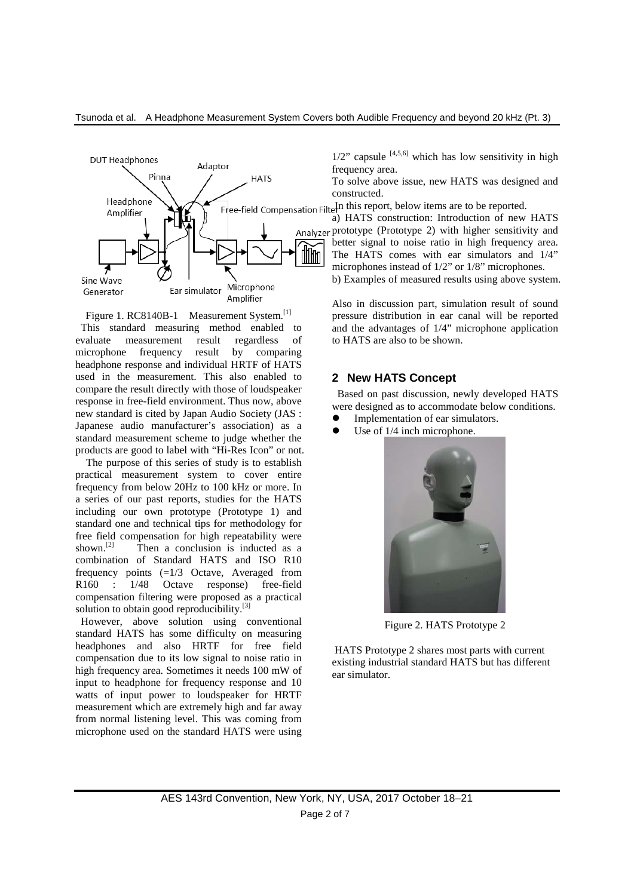

Figure 1. RC8140B-1 Measurement System.<sup>[1]</sup> This standard measuring method enabled to evaluate measurement result regardless of microphone frequency result by comparing headphone response and individual HRTF of HATS used in the measurement. This also enabled to compare the result directly with those of loudspeaker response in free-field environment. Thus now, above new standard is cited by Japan Audio Society (JAS : Japanese audio manufacturer's association) as a standard measurement scheme to judge whether the products are good to label with "Hi-Res Icon" or not.

The purpose of this series of study is to establish practical measurement system to cover entire frequency from below 20Hz to 100 kHz or more. In a series of our past reports, studies for the HATS including our own prototype (Prototype 1) and standard one and technical tips for methodology for free field compensation for high repeatability were<br>shown  $\frac{[2]}{[2]}$  Then a conclusion is inducted as a Then a conclusion is inducted as a combination of Standard HATS and ISO R10 frequency points (=1/3 Octave, Averaged from R160 : 1/48 Octave response) free-field compensation filtering were proposed as a practical solution to obtain good reproducibility.<sup>[3]</sup>

However, above solution using conventional standard HATS has some difficulty on measuring headphones and also HRTF for free field compensation due to its low signal to noise ratio in high frequency area. Sometimes it needs 100 mW of input to headphone for frequency response and 10 watts of input power to loudspeaker for HRTF measurement which are extremely high and far away from normal listening level. This was coming from microphone used on the standard HATS were using  $1/2$ " capsule  $[4,5,6]$  which has low sensitivity in high frequency area.

To solve above issue, new HATS was designed and constructed.

Free-field Compensation Filte<sup>In</sup> this report, below items are to be reported.

a) HATS construction: Introduction of new HATS Analyzer prototype (Prototype 2) with higher sensitivity and better signal to noise ratio in high frequency area. The HATS comes with ear simulators and 1/4" microphones instead of 1/2" or 1/8" microphones.

b) Examples of measured results using above system.

Also in discussion part, simulation result of sound pressure distribution in ear canal will be reported and the advantages of 1/4" microphone application to HATS are also to be shown.

#### **2 New HATS Concept**

Based on past discussion, newly developed HATS were designed as to accommodate below conditions.

- Implementation of ear simulators.
- Use of 1/4 inch microphone.



Figure 2. HATS Prototype 2

HATS Prototype 2 shares most parts with current existing industrial standard HATS but has different ear simulator.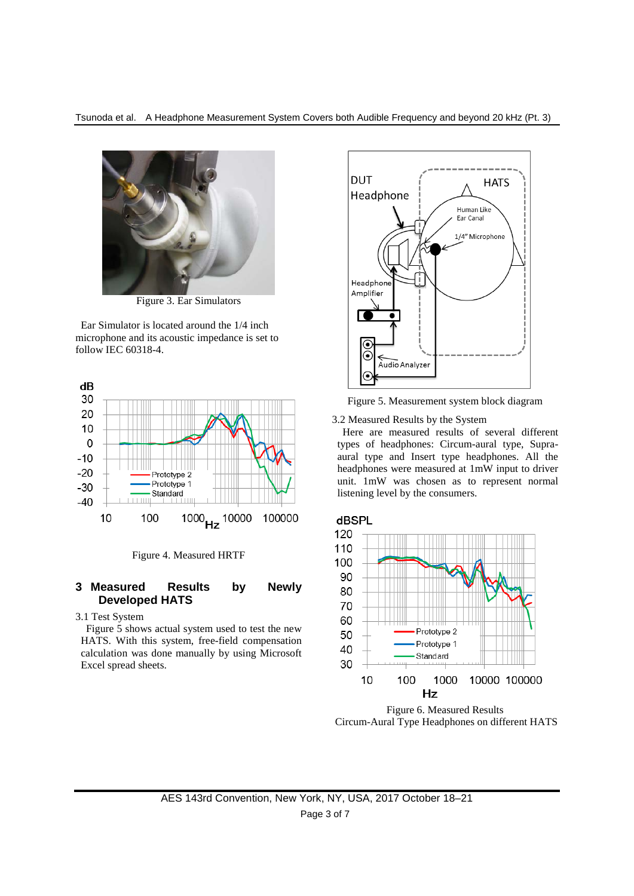

Figure 3. Ear Simulators

Ear Simulator is located around the 1/4 inch microphone and its acoustic impedance is set to follow IEC 60318-4.



Figure 4. Measured HRTF

### **3 Measured Results by Newly Developed HATS**

3.1 Test System

Figure 5 shows actual system used to test the new HATS. With this system, free-field compensation calculation was done manually by using Microsoft Excel spread sheets.



Figure 5. Measurement system block diagram

3.2 Measured Results by the System

Here are measured results of several different types of headphones: Circum-aural type, Supraaural type and Insert type headphones. All the headphones were measured at 1mW input to driver unit. 1mW was chosen as to represent normal listening level by the consumers.



Figure 6. Measured Results Circum-Aural Type Headphones on different HATS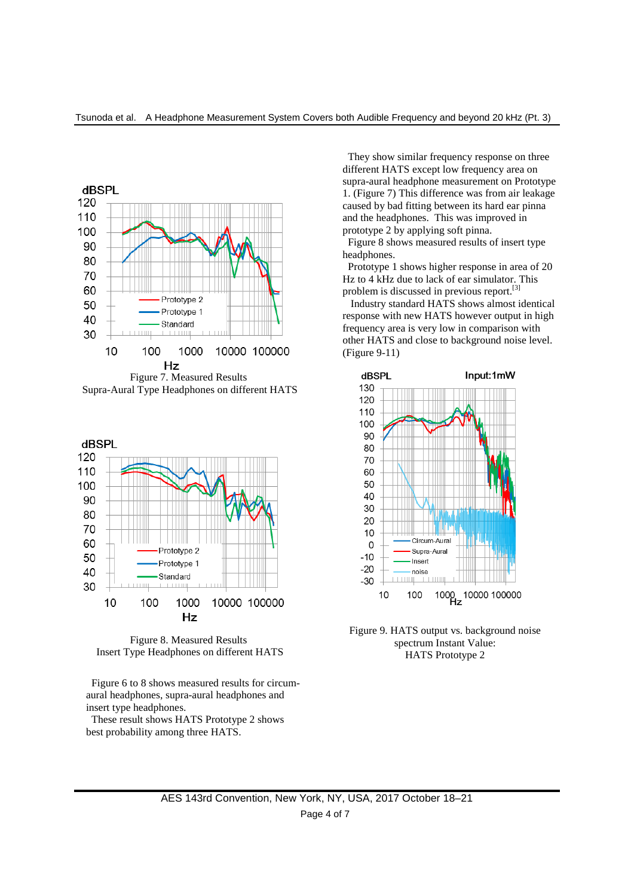

Supra-Aural Type Headphones on different HATS



Figure 8. Measured Results Insert Type Headphones on different HATS

Figure 6 to 8 shows measured results for circumaural headphones, supra-aural headphones and insert type headphones.

These result shows HATS Prototype 2 shows best probability among three HATS.

They show similar frequency response on three different HATS except low frequency area on supra-aural headphone measurement on Prototype 1. (Figure 7) This difference was from air leakage caused by bad fitting between its hard ear pinna and the headphones. This was improved in prototype 2 by applying soft pinna.

Figure 8 shows measured results of insert type headphones.

Prototype 1 shows higher response in area of 20 Hz to 4 kHz due to lack of ear simulator. This problem is discussed in previous report.[3]

Industry standard HATS shows almost identical response with new HATS however output in high frequency area is very low in comparison with other HATS and close to background noise level. (Figure 9-11)



Figure 9. HATS output vs. background noise spectrum Instant Value: HATS Prototype 2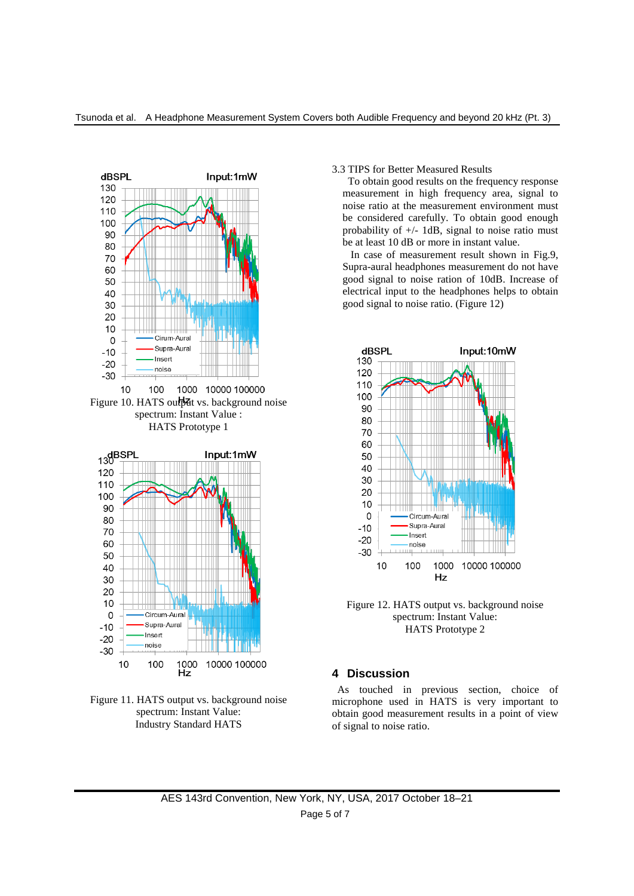





#### 3.3 TIPS for Better Measured Results

To obtain good results on the frequency response measurement in high frequency area, signal to noise ratio at the measurement environment must be considered carefully. To obtain good enough probability of  $+/-$  1dB, signal to noise ratio must be at least 10 dB or more in instant value.

In case of measurement result shown in Fig.9, Supra-aural headphones measurement do not have good signal to noise ration of 10dB. Increase of electrical input to the headphones helps to obtain good signal to noise ratio. (Figure 12)



Figure 12. HATS output vs. background noise spectrum: Instant Value: HATS Prototype 2

## **4 Discussion**

As touched in previous section, choice of microphone used in HATS is very important to obtain good measurement results in a point of view of signal to noise ratio.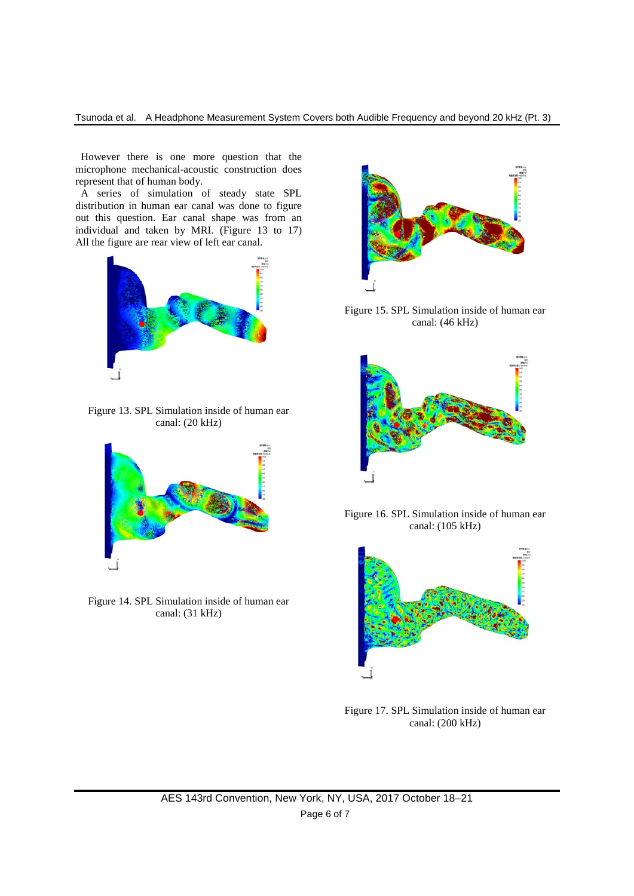However there is one more question that the microphone mechanical-acoustic construction does represent that of human body.

A series of simulation of steady state SPL distribution in human ear canal was done to figure out this question. Ear canal shape was from an individual and taken by MRI. (Figure 13 to 17) All the figure are rear view of left ear canal.



Figure 13. SPL Simulation inside of human ear canal: (20 kHz)



Figure 14. SPL Simulation inside of human ear canal: (31 kHz)



Figure 15. SPL Simulation inside of human ear canal: (46 kHz)



Figure 16. SPL Simulation inside of human ear canal: (105 kHz)



Figure 17. SPL Simulation inside of human ear canal: (200 kHz)